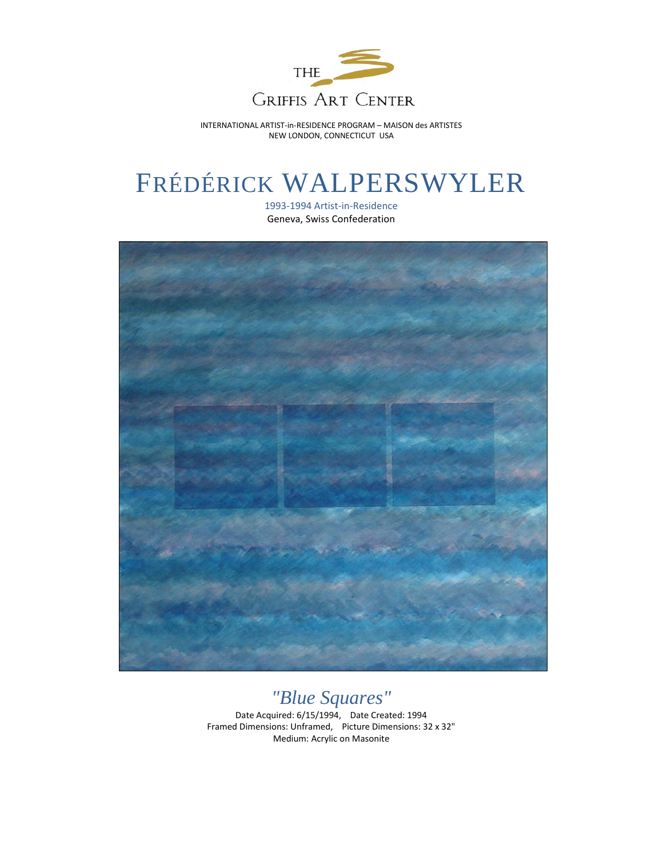

INTERNATIONAL ARTIST-in-RESIDENCE PROGRAM – MAISON des ARTISTES NEW LONDON, CONNECTICUT USA

## FRÉDÉRICK WALPERSWYLER

1993-1994 Artist-in-Residence Geneva, Swiss Confederation



## *"Blue Squares"*

Date Acquired: 6/15/1994, Date Created: 1994 Framed Dimensions: Unframed, Picture Dimensions: 32 x 32" Medium: Acrylic on Masonite